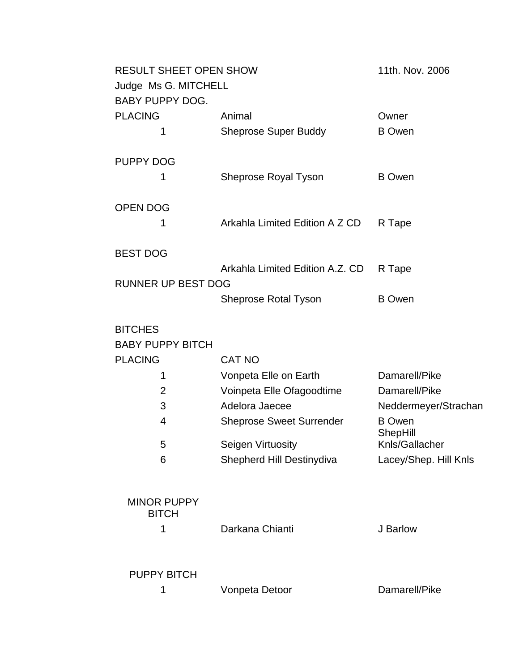| <b>RESULT SHEET OPEN SHOW</b>      |                                 | 11th. Nov. 2006           |
|------------------------------------|---------------------------------|---------------------------|
| Judge Ms G. MITCHELL               |                                 |                           |
| <b>BABY PUPPY DOG.</b>             |                                 |                           |
| <b>PLACING</b>                     | Animal                          | Owner                     |
| 1                                  | <b>Sheprose Super Buddy</b>     | <b>B</b> Owen             |
| <b>PUPPY DOG</b>                   |                                 |                           |
| 1                                  | Sheprose Royal Tyson            | <b>B</b> Owen             |
| <b>OPEN DOG</b>                    |                                 |                           |
| 1                                  | Arkahla Limited Edition A Z CD  | R Tape                    |
| <b>BEST DOG</b>                    |                                 |                           |
|                                    | Arkahla Limited Edition A.Z. CD | R Tape                    |
| <b>RUNNER UP BEST DOG</b>          |                                 |                           |
|                                    | <b>Sheprose Rotal Tyson</b>     | <b>B</b> Owen             |
| <b>BITCHES</b>                     |                                 |                           |
| <b>BABY PUPPY BITCH</b>            |                                 |                           |
| <b>PLACING</b>                     | <b>CAT NO</b>                   |                           |
| 1                                  | Vonpeta Elle on Earth           | Damarell/Pike             |
| $\overline{2}$                     | Voinpeta Elle Ofagoodtime       | Damarell/Pike             |
| 3                                  | Adelora Jaecee                  | Neddermeyer/Strachan      |
| 4                                  | <b>Sheprose Sweet Surrender</b> | <b>B</b> Owen<br>ShepHill |
| 5                                  | Seigen Virtuosity               | Knls/Gallacher            |
| 6                                  | Shepherd Hill Destinydiva       | Lacey/Shep. Hill Knls     |
| <b>MINOR PUPPY</b><br><b>BITCH</b> |                                 |                           |
| 1                                  | Darkana Chianti                 | J Barlow                  |
| <b>PUPPY BITCH</b>                 |                                 |                           |
| 1                                  | Vonpeta Detoor                  | Damarell/Pike             |
|                                    |                                 |                           |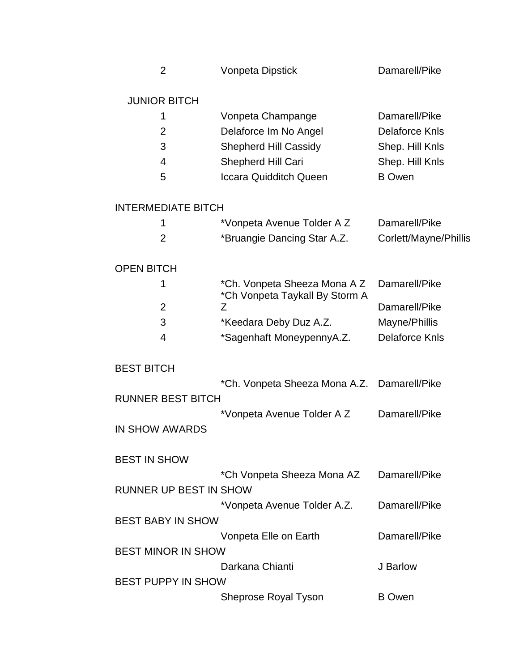|  | <b>Vonpeta Dipstick</b> | Damarell/Pike |
|--|-------------------------|---------------|
|--|-------------------------|---------------|

## JUNIOR BITCH

|               | Vonpeta Champange             | Damarell/Pike   |
|---------------|-------------------------------|-----------------|
| $\mathcal{P}$ | Delaforce Im No Angel         | Delaforce Knls  |
| З             | <b>Shepherd Hill Cassidy</b>  | Shep. Hill Knls |
| 4             | <b>Shepherd Hill Cari</b>     | Shep. Hill Knls |
| 5             | <b>Iccara Quidditch Queen</b> | <b>B</b> Owen   |

# INTERMEDIATE BITCH

| *Vonpeta Avenue Tolder A Z  | Damarell/Pike         |
|-----------------------------|-----------------------|
| *Bruangie Dancing Star A.Z. | Corlett/Mayne/Phillis |

# OPEN BITCH

|   | *Ch. Vonpeta Sheeza Mona A Z Damarell/Pike<br>*Ch Vonpeta Taykall By Storm A |                |
|---|------------------------------------------------------------------------------|----------------|
| 2 |                                                                              | Damarell/Pike  |
| 3 | *Keedara Deby Duz A.Z.                                                       | Mayne/Phillis  |
|   | *Sagenhaft MoneypennyA.Z.                                                    | Delaforce Knls |

### BEST BITCH

|                          | *Ch. Vonpeta Sheeza Mona A.Z. Damarell/Pike |               |
|--------------------------|---------------------------------------------|---------------|
| <b>RUNNER BEST BITCH</b> |                                             |               |
|                          | *Vonpeta Avenue Tolder A Z                  | Damarell/Pike |
| IN SHOW AWARDS           |                                             |               |

### BEST IN SHOW

|                           | *Ch Vonpeta Sheeza Mona AZ  | Damarell/Pike |
|---------------------------|-----------------------------|---------------|
| RUNNER UP BEST IN SHOW    |                             |               |
|                           | *Vonpeta Avenue Tolder A.Z. | Damarell/Pike |
| BEST BABY IN SHOW         |                             |               |
|                           | Vonpeta Elle on Earth       | Damarell/Pike |
| <b>BEST MINOR IN SHOW</b> |                             |               |
|                           | Darkana Chianti             | J Barlow      |
| BEST PUPPY IN SHOW        |                             |               |
|                           | <b>Sheprose Royal Tyson</b> | <b>B</b> Owen |